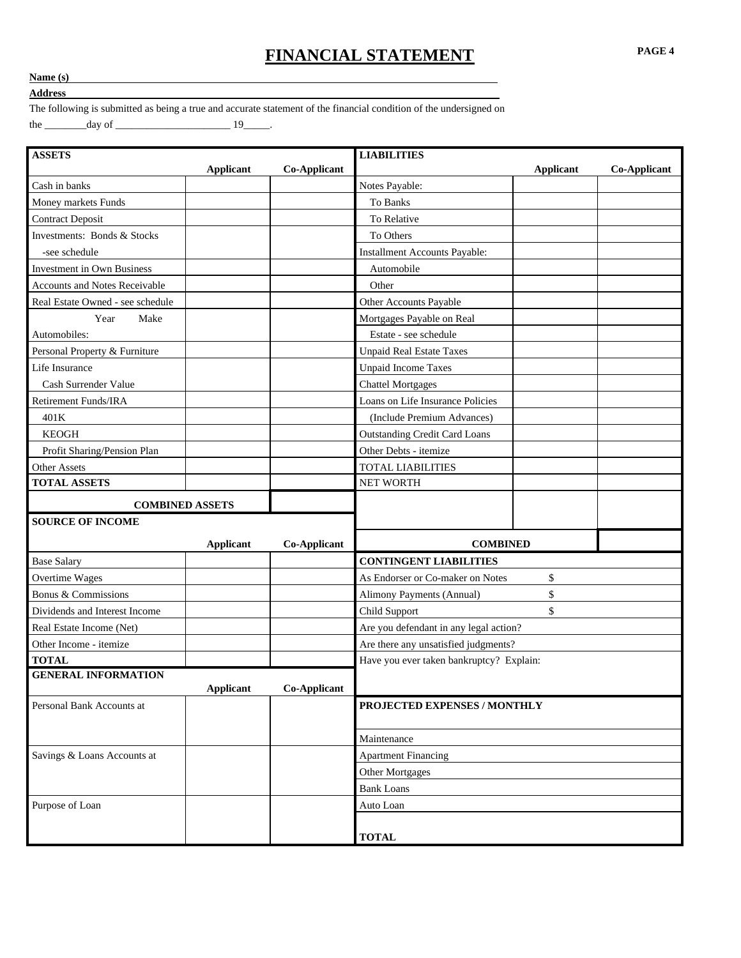## **FINANCIAL STATEMENT PAGE 4**

## **Name (s)**

**Address** 

The following is submitted as being a true and accurate statement of the financial condition of the undersigned on the  $\frac{day \text{ of}}{x}$  and  $\frac{19}{x}$ .

 **ASSETS LIABILITIES Applicant Co-Applicant Applicant Co-Applicant** Cash in banks Notes Payable: Money markets Funds **To Banks** Contract Deposit To Relative To Relative Investments: Bonds & Stocks To Others -see schedule **Installment Accounts Payable:** Investment in Own Business and Automobile Automobile Accounts and Notes Receivable **Contact Contact Accounts** and Notes Receivable Real Estate Owned - see schedule and the other Accounts Payable Other Accounts Payable Year Make Mortgages Payable on Real Automobiles: and the set of the set of the set of the set of the set of the set of the set of the set of the set of the set of the set of the set of the set of the set of the set of the set of the set of the set of the set Personal Property & Furniture  $\blacksquare$ Life Insurance and the Unpaid Income Taxes Cash Surrender Value and Chattel Mortgages Retirement Funds/IRA Loans on Life Insurance Policies 401K (Include Premium Advances) KEOGH **Outstanding Credit Card Loans** Profit Sharing/Pension Plan and Communication Communication Plan and Other Debts - itemize Other Assets **TOTAL LIABILITIES TOTAL ASSETS** NET WORTH  **COMBINED ASSETS SOURCE OF INCOME Applicant Co-Applicant COMBINED**  Base Salary<br> **CONTINGENT LIABILITIES** Overtime Wages **As Endorser or Co-maker on Notes** \$ Bonus & Commissions and the Commissions of the Commissions of the Commissions of the Commissions of the Commissions of the Commissions of the Commissions of the Commissions of the Commissions of the Commissions of the Comm Dividends and Interest Income Child Support \$ Real Estate Income (Net) and a set of the set of the set of the set of the set of the set of the set of the set of the set of the set of the set of the set of the set of the set of the set of the set of the set of the set Other Income - itemize and a set of the set of the Are there any unsatisfied judgments? **TOTAL Have you ever taken bankruptcy?** Explain:  **GENERAL INFORMATION Applicant Co-Applicant** Personal Bank Accounts at **PROJECTED EXPENSES / MONTHLY**  Maintenance Savings & Loans Accounts at Apartment Financing Other Mortgages Bank Loans Purpose of Loan and Auto Loan and Auto Loan and Auto Loan  **TOTAL**